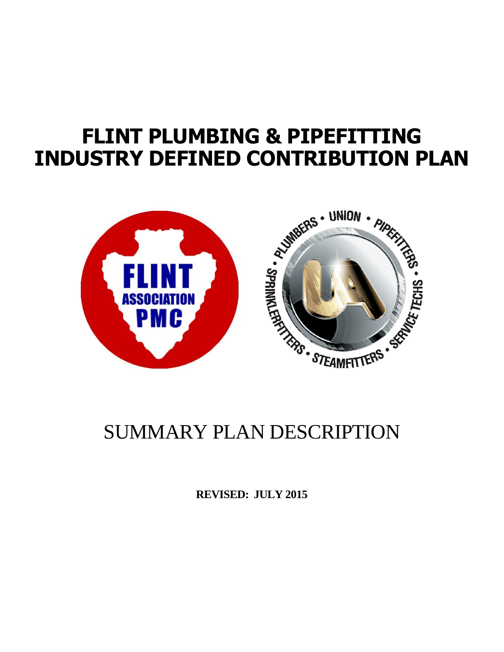# **FLINT PLUMBING & PIPEFITTING INDUSTRY DEFINED CONTRIBUTION PLAN**



**REVISED: JULY 2015**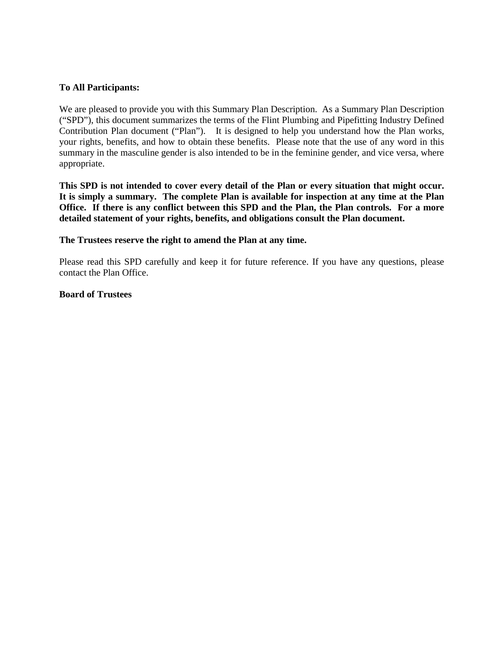#### **To All Participants:**

We are pleased to provide you with this Summary Plan Description. As a Summary Plan Description ("SPD"), this document summarizes the terms of the Flint Plumbing and Pipefitting Industry Defined Contribution Plan document ("Plan"). It is designed to help you understand how the Plan works, your rights, benefits, and how to obtain these benefits. Please note that the use of any word in this summary in the masculine gender is also intended to be in the feminine gender, and vice versa, where appropriate.

**This SPD is not intended to cover every detail of the Plan or every situation that might occur. It is simply a summary. The complete Plan is available for inspection at any time at the Plan Office. If there is any conflict between this SPD and the Plan, the Plan controls. For a more detailed statement of your rights, benefits, and obligations consult the Plan document.**

**The Trustees reserve the right to amend the Plan at any time.**

Please read this SPD carefully and keep it for future reference. If you have any questions, please contact the Plan Office.

**Board of Trustees**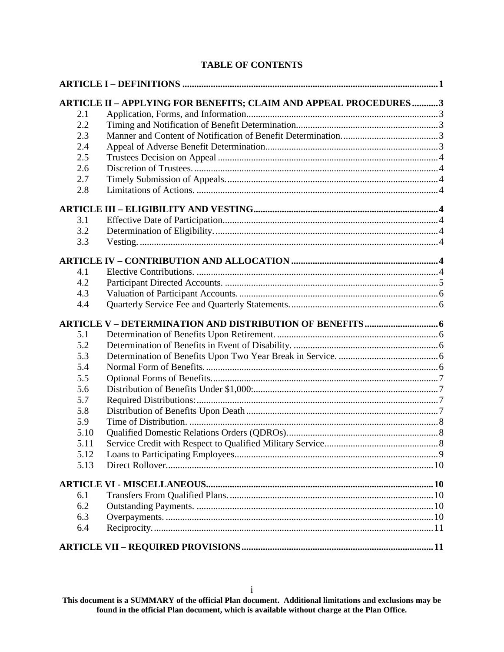# **TABLE OF CONTENTS**

|      | ARTICLE II - APPLYING FOR BENEFITS; CLAIM AND APPEAL PROCEDURES3 |  |
|------|------------------------------------------------------------------|--|
| 2.1  |                                                                  |  |
| 2.2  |                                                                  |  |
| 2.3  |                                                                  |  |
| 2.4  |                                                                  |  |
| 2.5  |                                                                  |  |
| 2.6  |                                                                  |  |
| 2.7  |                                                                  |  |
| 2.8  |                                                                  |  |
|      |                                                                  |  |
| 3.1  |                                                                  |  |
| 3.2  |                                                                  |  |
| 3.3  |                                                                  |  |
|      |                                                                  |  |
| 4.1  |                                                                  |  |
| 4.2  |                                                                  |  |
| 4.3  |                                                                  |  |
| 4.4  |                                                                  |  |
|      |                                                                  |  |
| 5.1  |                                                                  |  |
| 5.2  |                                                                  |  |
| 5.3  |                                                                  |  |
| 5.4  |                                                                  |  |
| 5.5  |                                                                  |  |
| 5.6  |                                                                  |  |
| 5.7  |                                                                  |  |
| 5.8  |                                                                  |  |
| 5.9  |                                                                  |  |
| 5.10 |                                                                  |  |
| 5.11 |                                                                  |  |
| 5.12 |                                                                  |  |
| 5.13 |                                                                  |  |
|      |                                                                  |  |
|      |                                                                  |  |
| 6.1  |                                                                  |  |
| 6.2  |                                                                  |  |
| 6.3  |                                                                  |  |
| 6.4  |                                                                  |  |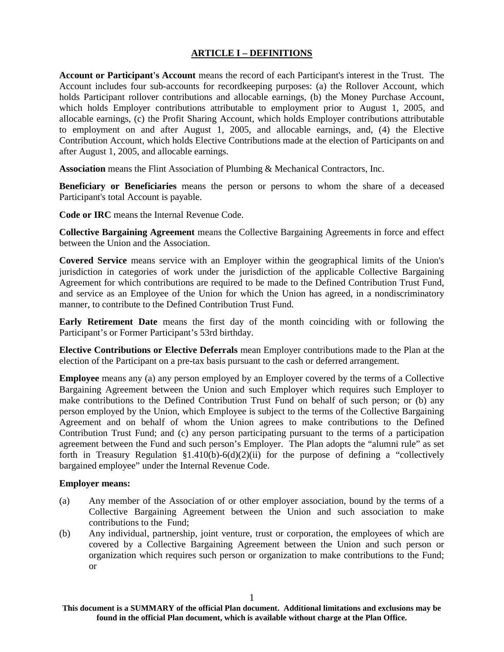### **ARTICLE I – DEFINITIONS**

**Account or Participant's Account** means the record of each Participant's interest in the Trust. The Account includes four sub-accounts for recordkeeping purposes: (a) the Rollover Account, which holds Participant rollover contributions and allocable earnings, (b) the Money Purchase Account, which holds Employer contributions attributable to employment prior to August 1, 2005, and allocable earnings, (c) the Profit Sharing Account, which holds Employer contributions attributable to employment on and after August 1, 2005, and allocable earnings, and, (4) the Elective Contribution Account, which holds Elective Contributions made at the election of Participants on and after August 1, 2005, and allocable earnings.

**Association** means the Flint Association of Plumbing & Mechanical Contractors, Inc.

**Beneficiary or Beneficiaries** means the person or persons to whom the share of a deceased Participant's total Account is payable.

**Code or IRC** means the Internal Revenue Code.

**Collective Bargaining Agreement** means the Collective Bargaining Agreements in force and effect between the Union and the Association.

**Covered Service** means service with an Employer within the geographical limits of the Union's jurisdiction in categories of work under the jurisdiction of the applicable Collective Bargaining Agreement for which contributions are required to be made to the Defined Contribution Trust Fund, and service as an Employee of the Union for which the Union has agreed, in a nondiscriminatory manner, to contribute to the Defined Contribution Trust Fund.

**Early Retirement Date** means the first day of the month coinciding with or following the Participant's or Former Participant's 53rd birthday.

**Elective Contributions or Elective Deferrals** mean Employer contributions made to the Plan at the election of the Participant on a pre-tax basis pursuant to the cash or deferred arrangement.

**Employee** means any (a) any person employed by an Employer covered by the terms of a Collective Bargaining Agreement between the Union and such Employer which requires such Employer to make contributions to the Defined Contribution Trust Fund on behalf of such person; or (b) any person employed by the Union, which Employee is subject to the terms of the Collective Bargaining Agreement and on behalf of whom the Union agrees to make contributions to the Defined Contribution Trust Fund; and (c) any person participating pursuant to the terms of a participation agreement between the Fund and such person's Employer. The Plan adopts the "alumni rule" as set forth in Treasury Regulation §1.410(b)-6(d)(2)(ii) for the purpose of defining a "collectively bargained employee" under the Internal Revenue Code.

#### **Employer means:**

- (a) Any member of the Association of or other employer association, bound by the terms of a Collective Bargaining Agreement between the Union and such association to make contributions to the Fund;
- (b) Any individual, partnership, joint venture, trust or corporation, the employees of which are covered by a Collective Bargaining Agreement between the Union and such person or organization which requires such person or organization to make contributions to the Fund; or

**This document is a SUMMARY of the official Plan document. Additional limitations and exclusions may be found in the official Plan document, which is available without charge at the Plan Office.**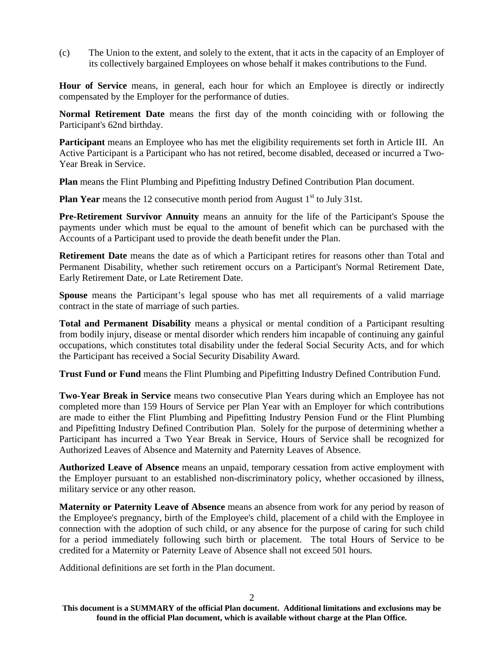(c) The Union to the extent, and solely to the extent, that it acts in the capacity of an Employer of its collectively bargained Employees on whose behalf it makes contributions to the Fund.

**Hour of Service** means, in general, each hour for which an Employee is directly or indirectly compensated by the Employer for the performance of duties.

**Normal Retirement Date** means the first day of the month coinciding with or following the Participant's 62nd birthday.

**Participant** means an Employee who has met the eligibility requirements set forth in Article III. An Active Participant is a Participant who has not retired, become disabled, deceased or incurred a Two-Year Break in Service.

**Plan** means the Flint Plumbing and Pipefitting Industry Defined Contribution Plan document.

**Plan Year** means the 12 consecutive month period from August 1<sup>st</sup> to July 31st.

**Pre-Retirement Survivor Annuity** means an annuity for the life of the Participant's Spouse the payments under which must be equal to the amount of benefit which can be purchased with the Accounts of a Participant used to provide the death benefit under the Plan.

**Retirement Date** means the date as of which a Participant retires for reasons other than Total and Permanent Disability, whether such retirement occurs on a Participant's Normal Retirement Date, Early Retirement Date, or Late Retirement Date.

**Spouse** means the Participant's legal spouse who has met all requirements of a valid marriage contract in the state of marriage of such parties.

**Total and Permanent Disability** means a physical or mental condition of a Participant resulting from bodily injury, disease or mental disorder which renders him incapable of continuing any gainful occupations, which constitutes total disability under the federal Social Security Acts, and for which the Participant has received a Social Security Disability Award.

**Trust Fund or Fund** means the Flint Plumbing and Pipefitting Industry Defined Contribution Fund.

**Two-Year Break in Service** means two consecutive Plan Years during which an Employee has not completed more than 159 Hours of Service per Plan Year with an Employer for which contributions are made to either the Flint Plumbing and Pipefitting Industry Pension Fund or the Flint Plumbing and Pipefitting Industry Defined Contribution Plan. Solely for the purpose of determining whether a Participant has incurred a Two Year Break in Service, Hours of Service shall be recognized for Authorized Leaves of Absence and Maternity and Paternity Leaves of Absence.

**Authorized Leave of Absence** means an unpaid, temporary cessation from active employment with the Employer pursuant to an established non-discriminatory policy, whether occasioned by illness, military service or any other reason.

**Maternity or Paternity Leave of Absence** means an absence from work for any period by reason of the Employee's pregnancy, birth of the Employee's child, placement of a child with the Employee in connection with the adoption of such child, or any absence for the purpose of caring for such child for a period immediately following such birth or placement. The total Hours of Service to be credited for a Maternity or Paternity Leave of Absence shall not exceed 501 hours.

Additional definitions are set forth in the Plan document.

 $\mathfrak{D}$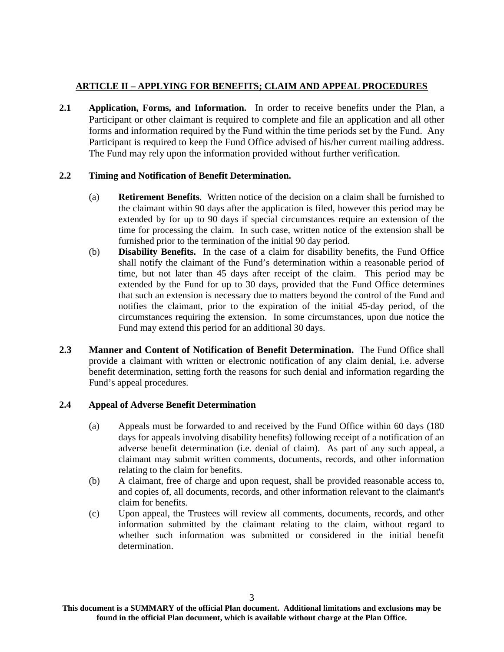# **ARTICLE II – APPLYING FOR BENEFITS; CLAIM AND APPEAL PROCEDURES**

**2.1 Application, Forms, and Information.** In order to receive benefits under the Plan, a Participant or other claimant is required to complete and file an application and all other forms and information required by the Fund within the time periods set by the Fund. Any Participant is required to keep the Fund Office advised of his/her current mailing address. The Fund may rely upon the information provided without further verification.

# **2.2 Timing and Notification of Benefit Determination.**

- (a) **Retirement Benefits**. Written notice of the decision on a claim shall be furnished to the claimant within 90 days after the application is filed, however this period may be extended by for up to 90 days if special circumstances require an extension of the time for processing the claim. In such case, written notice of the extension shall be furnished prior to the termination of the initial 90 day period.
- (b) **Disability Benefits.** In the case of a claim for disability benefits, the Fund Office shall notify the claimant of the Fund's determination within a reasonable period of time, but not later than 45 days after receipt of the claim. This period may be extended by the Fund for up to 30 days, provided that the Fund Office determines that such an extension is necessary due to matters beyond the control of the Fund and notifies the claimant, prior to the expiration of the initial 45-day period, of the circumstances requiring the extension. In some circumstances, upon due notice the Fund may extend this period for an additional 30 days.
- **2.3 Manner and Content of Notification of Benefit Determination.** The Fund Office shall provide a claimant with written or electronic notification of any claim denial, i.e. adverse benefit determination, setting forth the reasons for such denial and information regarding the Fund's appeal procedures.

# **2.4 Appeal of Adverse Benefit Determination**

- (a) Appeals must be forwarded to and received by the Fund Office within 60 days (180 days for appeals involving disability benefits) following receipt of a notification of an adverse benefit determination (i.e. denial of claim). As part of any such appeal, a claimant may submit written comments, documents, records, and other information relating to the claim for benefits.
- (b) A claimant, free of charge and upon request, shall be provided reasonable access to, and copies of, all documents, records, and other information relevant to the claimant's claim for benefits.
- (c) Upon appeal, the Trustees will review all comments, documents, records, and other information submitted by the claimant relating to the claim, without regard to whether such information was submitted or considered in the initial benefit determination.

**This document is a SUMMARY of the official Plan document. Additional limitations and exclusions may be found in the official Plan document, which is available without charge at the Plan Office.**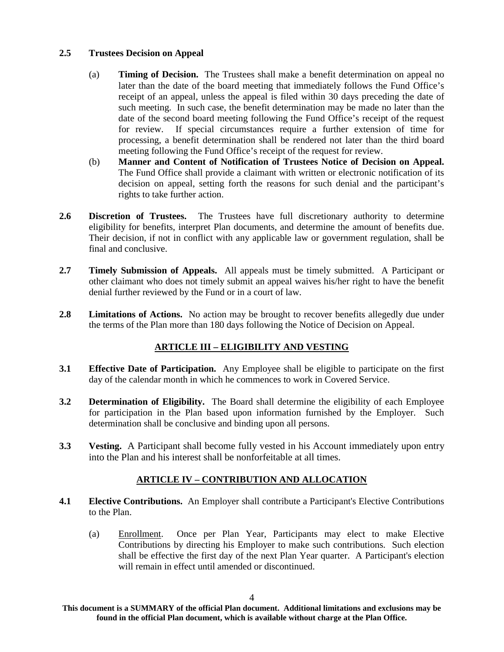### **2.5 Trustees Decision on Appeal**

- (a) **Timing of Decision.** The Trustees shall make a benefit determination on appeal no later than the date of the board meeting that immediately follows the Fund Office's receipt of an appeal, unless the appeal is filed within 30 days preceding the date of such meeting. In such case, the benefit determination may be made no later than the date of the second board meeting following the Fund Office's receipt of the request for review. If special circumstances require a further extension of time for processing, a benefit determination shall be rendered not later than the third board meeting following the Fund Office's receipt of the request for review.
- (b) **Manner and Content of Notification of Trustees Notice of Decision on Appeal.** The Fund Office shall provide a claimant with written or electronic notification of its decision on appeal, setting forth the reasons for such denial and the participant's rights to take further action.
- **2.6 Discretion of Trustees.** The Trustees have full discretionary authority to determine eligibility for benefits, interpret Plan documents, and determine the amount of benefits due. Their decision, if not in conflict with any applicable law or government regulation, shall be final and conclusive.
- **2.7 Timely Submission of Appeals.** All appeals must be timely submitted. A Participant or other claimant who does not timely submit an appeal waives his/her right to have the benefit denial further reviewed by the Fund or in a court of law.
- **2.8 Limitations of Actions.** No action may be brought to recover benefits allegedly due under the terms of the Plan more than 180 days following the Notice of Decision on Appeal.

# **ARTICLE III – ELIGIBILITY AND VESTING**

- **3.1 Effective Date of Participation.** Any Employee shall be eligible to participate on the first day of the calendar month in which he commences to work in Covered Service.
- **3.2 Determination of Eligibility.** The Board shall determine the eligibility of each Employee for participation in the Plan based upon information furnished by the Employer. Such determination shall be conclusive and binding upon all persons.
- **3.3** Vesting. A Participant shall become fully vested in his Account immediately upon entry into the Plan and his interest shall be nonforfeitable at all times.

# **ARTICLE IV – CONTRIBUTION AND ALLOCATION**

- **4.1 Elective Contributions.** An Employer shall contribute a Participant's Elective Contributions to the Plan.
	- (a) Enrollment. Once per Plan Year, Participants may elect to make Elective Contributions by directing his Employer to make such contributions. Such election shall be effective the first day of the next Plan Year quarter. A Participant's election will remain in effect until amended or discontinued.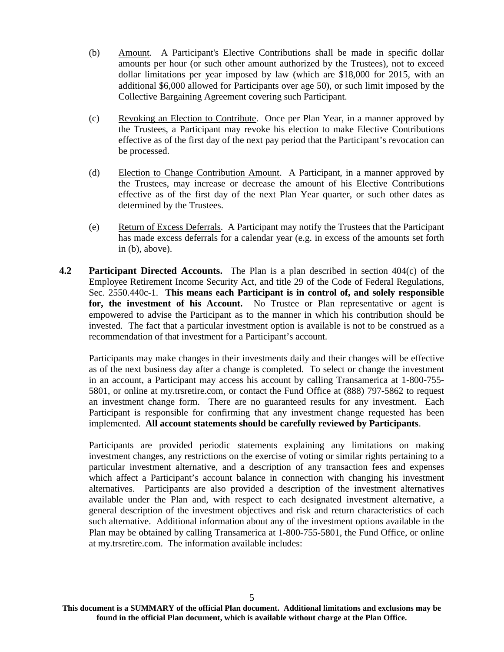- (b) Amount. A Participant's Elective Contributions shall be made in specific dollar amounts per hour (or such other amount authorized by the Trustees), not to exceed dollar limitations per year imposed by law (which are \$18,000 for 2015, with an additional \$6,000 allowed for Participants over age 50), or such limit imposed by the Collective Bargaining Agreement covering such Participant.
- (c) Revoking an Election to Contribute. Once per Plan Year, in a manner approved by the Trustees, a Participant may revoke his election to make Elective Contributions effective as of the first day of the next pay period that the Participant's revocation can be processed.
- (d) Election to Change Contribution Amount. A Participant, in a manner approved by the Trustees, may increase or decrease the amount of his Elective Contributions effective as of the first day of the next Plan Year quarter, or such other dates as determined by the Trustees.
- (e) Return of Excess Deferrals. A Participant may notify the Trustees that the Participant has made excess deferrals for a calendar year (e.g. in excess of the amounts set forth in (b), above).
- **4.2 Participant Directed Accounts.** The Plan is a plan described in section 404(c) of the Employee Retirement Income Security Act, and title 29 of the Code of Federal Regulations, Sec. 2550.440c-1. **This means each Participant is in control of, and solely responsible for, the investment of his Account.** No Trustee or Plan representative or agent is empowered to advise the Participant as to the manner in which his contribution should be invested. The fact that a particular investment option is available is not to be construed as a recommendation of that investment for a Participant's account.

Participants may make changes in their investments daily and their changes will be effective as of the next business day after a change is completed. To select or change the investment in an account, a Participant may access his account by calling Transamerica at 1-800-755- 5801, or online at my.trsretire.com, or contact the Fund Office at (888) 797-5862 to request an investment change form. There are no guaranteed results for any investment. Each Participant is responsible for confirming that any investment change requested has been implemented. **All account statements should be carefully reviewed by Participants**.

Participants are provided periodic statements explaining any limitations on making investment changes, any restrictions on the exercise of voting or similar rights pertaining to a particular investment alternative, and a description of any transaction fees and expenses which affect a Participant's account balance in connection with changing his investment alternatives. Participants are also provided a description of the investment alternatives available under the Plan and, with respect to each designated investment alternative, a general description of the investment objectives and risk and return characteristics of each such alternative. Additional information about any of the investment options available in the Plan may be obtained by calling Transamerica at 1-800-755-5801, the Fund Office, or online at my.trsretire.com. The information available includes: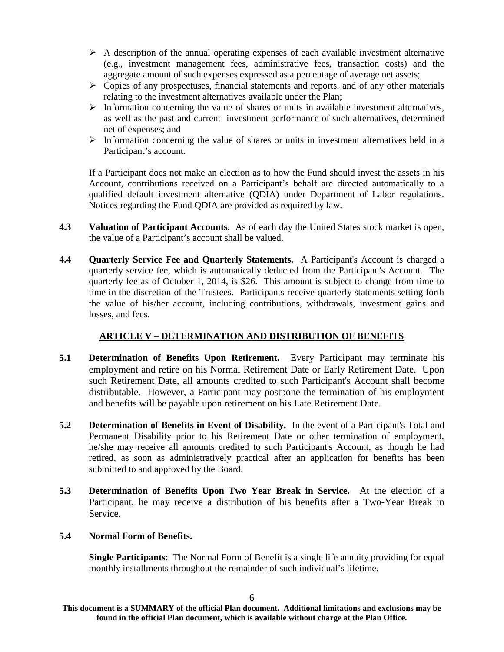- $\triangleright$  A description of the annual operating expenses of each available investment alternative (e.g., investment management fees, administrative fees, transaction costs) and the aggregate amount of such expenses expressed as a percentage of average net assets;
- $\triangleright$  Copies of any prospectuses, financial statements and reports, and of any other materials relating to the investment alternatives available under the Plan;
- $\triangleright$  Information concerning the value of shares or units in available investment alternatives, as well as the past and current investment performance of such alternatives, determined net of expenses; and
- $\triangleright$  Information concerning the value of shares or units in investment alternatives held in a Participant's account.

If a Participant does not make an election as to how the Fund should invest the assets in his Account, contributions received on a Participant's behalf are directed automatically to a qualified default investment alternative (QDIA) under Department of Labor regulations. Notices regarding the Fund QDIA are provided as required by law.

- **4.3 Valuation of Participant Accounts.** As of each day the United States stock market is open, the value of a Participant's account shall be valued.
- **4.4 Quarterly Service Fee and Quarterly Statements.** A Participant's Account is charged a quarterly service fee, which is automatically deducted from the Participant's Account. The quarterly fee as of October 1, 2014, is \$26. This amount is subject to change from time to time in the discretion of the Trustees. Participants receive quarterly statements setting forth the value of his/her account, including contributions, withdrawals, investment gains and losses, and fees.

### **ARTICLE V – DETERMINATION AND DISTRIBUTION OF BENEFITS**

- **5.1 Determination of Benefits Upon Retirement.** Every Participant may terminate his employment and retire on his Normal Retirement Date or Early Retirement Date. Upon such Retirement Date, all amounts credited to such Participant's Account shall become distributable. However, a Participant may postpone the termination of his employment and benefits will be payable upon retirement on his Late Retirement Date.
- **5.2 Determination of Benefits in Event of Disability.** In the event of a Participant's Total and Permanent Disability prior to his Retirement Date or other termination of employment, he/she may receive all amounts credited to such Participant's Account, as though he had retired, as soon as administratively practical after an application for benefits has been submitted to and approved by the Board.
- **5.3 Determination of Benefits Upon Two Year Break in Service.** At the election of a Participant, he may receive a distribution of his benefits after a Two-Year Break in Service.

# **5.4 Normal Form of Benefits.**

**Single Participants**: The Normal Form of Benefit is a single life annuity providing for equal monthly installments throughout the remainder of such individual's lifetime.

**This document is a SUMMARY of the official Plan document. Additional limitations and exclusions may be found in the official Plan document, which is available without charge at the Plan Office.**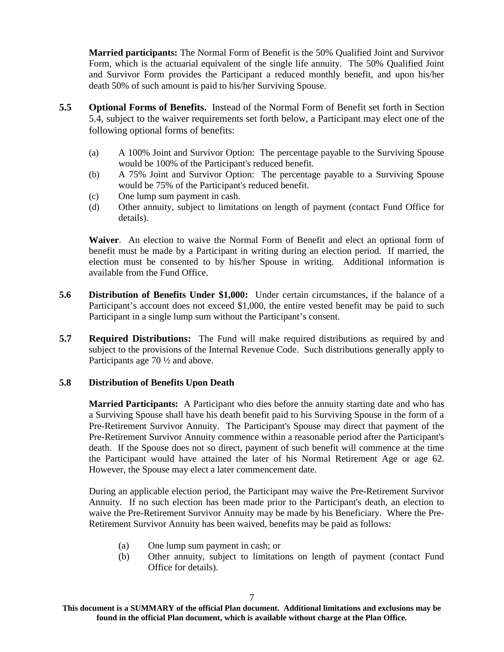**Married participants:** The Normal Form of Benefit is the 50% Qualified Joint and Survivor Form, which is the actuarial equivalent of the single life annuity. The 50% Qualified Joint and Survivor Form provides the Participant a reduced monthly benefit, and upon his/her death 50% of such amount is paid to his/her Surviving Spouse.

- **5.5 Optional Forms of Benefits.** Instead of the Normal Form of Benefit set forth in Section 5.4, subject to the waiver requirements set forth below, a Participant may elect one of the following optional forms of benefits:
	- (a) A 100% Joint and Survivor Option: The percentage payable to the Surviving Spouse would be 100% of the Participant's reduced benefit.
	- (b) A 75% Joint and Survivor Option: The percentage payable to a Surviving Spouse would be 75% of the Participant's reduced benefit.
	- (c) One lump sum payment in cash.
	- (d) Other annuity, subject to limitations on length of payment (contact Fund Office for details).

**Waiver**. An election to waive the Normal Form of Benefit and elect an optional form of benefit must be made by a Participant in writing during an election period. If married, the election must be consented to by his/her Spouse in writing. Additional information is available from the Fund Office.

- **5.6 Distribution of Benefits Under \$1,000:** Under certain circumstances, if the balance of a Participant's account does not exceed \$1,000, the entire vested benefit may be paid to such Participant in a single lump sum without the Participant's consent.
- **5.7 Required Distributions:** The Fund will make required distributions as required by and subject to the provisions of the Internal Revenue Code. Such distributions generally apply to Participants age 70 ½ and above.

### **5.8 Distribution of Benefits Upon Death**

**Married Participants:** A Participant who dies before the annuity starting date and who has a Surviving Spouse shall have his death benefit paid to his Surviving Spouse in the form of a Pre-Retirement Survivor Annuity. The Participant's Spouse may direct that payment of the Pre-Retirement Survivor Annuity commence within a reasonable period after the Participant's death. If the Spouse does not so direct, payment of such benefit will commence at the time the Participant would have attained the later of his Normal Retirement Age or age 62. However, the Spouse may elect a later commencement date.

During an applicable election period, the Participant may waive the Pre-Retirement Survivor Annuity. If no such election has been made prior to the Participant's death, an election to waive the Pre-Retirement Survivor Annuity may be made by his Beneficiary. Where the Pre-Retirement Survivor Annuity has been waived, benefits may be paid as follows:

- (a) One lump sum payment in cash; or
- (b) Other annuity, subject to limitations on length of payment (contact Fund Office for details).

**This document is a SUMMARY of the official Plan document. Additional limitations and exclusions may be found in the official Plan document, which is available without charge at the Plan Office.**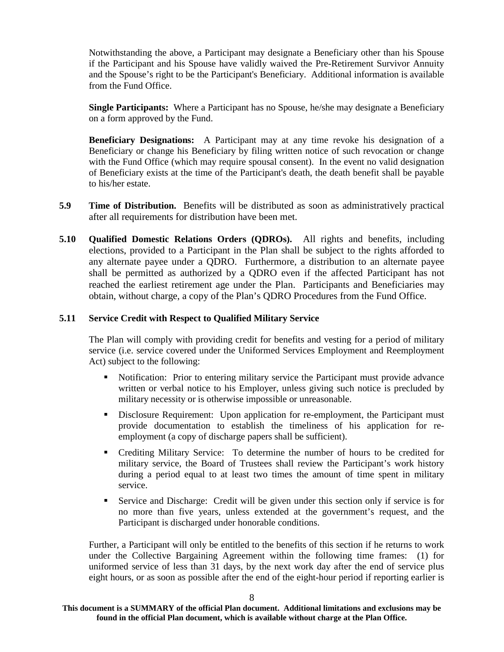Notwithstanding the above, a Participant may designate a Beneficiary other than his Spouse if the Participant and his Spouse have validly waived the Pre-Retirement Survivor Annuity and the Spouse's right to be the Participant's Beneficiary. Additional information is available from the Fund Office.

**Single Participants:** Where a Participant has no Spouse, he/she may designate a Beneficiary on a form approved by the Fund.

**Beneficiary Designations:** A Participant may at any time revoke his designation of a Beneficiary or change his Beneficiary by filing written notice of such revocation or change with the Fund Office (which may require spousal consent). In the event no valid designation of Beneficiary exists at the time of the Participant's death, the death benefit shall be payable to his/her estate.

- **5.9 Time of Distribution.** Benefits will be distributed as soon as administratively practical after all requirements for distribution have been met.
- **5.10 Qualified Domestic Relations Orders (QDROs).** All rights and benefits, including elections, provided to a Participant in the Plan shall be subject to the rights afforded to any alternate payee under a QDRO. Furthermore, a distribution to an alternate payee shall be permitted as authorized by a QDRO even if the affected Participant has not reached the earliest retirement age under the Plan. Participants and Beneficiaries may obtain, without charge, a copy of the Plan's QDRO Procedures from the Fund Office.

#### **5.11 Service Credit with Respect to Qualified Military Service**

The Plan will comply with providing credit for benefits and vesting for a period of military service (i.e. service covered under the Uniformed Services Employment and Reemployment Act) subject to the following:

- Notification: Prior to entering military service the Participant must provide advance written or verbal notice to his Employer, unless giving such notice is precluded by military necessity or is otherwise impossible or unreasonable.
- Disclosure Requirement: Upon application for re-employment, the Participant must provide documentation to establish the timeliness of his application for reemployment (a copy of discharge papers shall be sufficient).
- Crediting Military Service: To determine the number of hours to be credited for military service, the Board of Trustees shall review the Participant's work history during a period equal to at least two times the amount of time spent in military service.
- Service and Discharge: Credit will be given under this section only if service is for no more than five years, unless extended at the government's request, and the Participant is discharged under honorable conditions.

Further, a Participant will only be entitled to the benefits of this section if he returns to work under the Collective Bargaining Agreement within the following time frames: (1) for uniformed service of less than 31 days, by the next work day after the end of service plus eight hours, or as soon as possible after the end of the eight-hour period if reporting earlier is

**This document is a SUMMARY of the official Plan document. Additional limitations and exclusions may be found in the official Plan document, which is available without charge at the Plan Office.**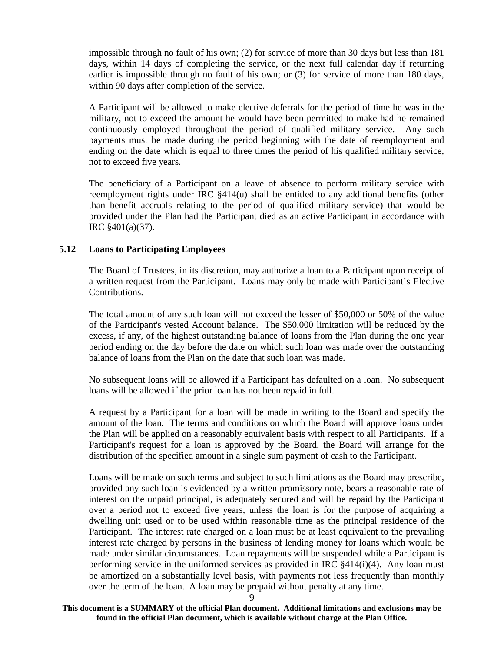impossible through no fault of his own; (2) for service of more than 30 days but less than 181 days, within 14 days of completing the service, or the next full calendar day if returning earlier is impossible through no fault of his own; or (3) for service of more than 180 days, within 90 days after completion of the service.

A Participant will be allowed to make elective deferrals for the period of time he was in the military, not to exceed the amount he would have been permitted to make had he remained continuously employed throughout the period of qualified military service. Any such payments must be made during the period beginning with the date of reemployment and ending on the date which is equal to three times the period of his qualified military service, not to exceed five years.

The beneficiary of a Participant on a leave of absence to perform military service with reemployment rights under IRC §414(u) shall be entitled to any additional benefits (other than benefit accruals relating to the period of qualified military service) that would be provided under the Plan had the Participant died as an active Participant in accordance with IRC §401(a)(37).

#### **5.12 Loans to Participating Employees**

The Board of Trustees, in its discretion, may authorize a loan to a Participant upon receipt of a written request from the Participant. Loans may only be made with Participant's Elective Contributions.

The total amount of any such loan will not exceed the lesser of \$50,000 or 50% of the value of the Participant's vested Account balance. The \$50,000 limitation will be reduced by the excess, if any, of the highest outstanding balance of loans from the Plan during the one year period ending on the day before the date on which such loan was made over the outstanding balance of loans from the Plan on the date that such loan was made.

No subsequent loans will be allowed if a Participant has defaulted on a loan. No subsequent loans will be allowed if the prior loan has not been repaid in full.

A request by a Participant for a loan will be made in writing to the Board and specify the amount of the loan. The terms and conditions on which the Board will approve loans under the Plan will be applied on a reasonably equivalent basis with respect to all Participants. If a Participant's request for a loan is approved by the Board, the Board will arrange for the distribution of the specified amount in a single sum payment of cash to the Participant.

Loans will be made on such terms and subject to such limitations as the Board may prescribe, provided any such loan is evidenced by a written promissory note, bears a reasonable rate of interest on the unpaid principal, is adequately secured and will be repaid by the Participant over a period not to exceed five years, unless the loan is for the purpose of acquiring a dwelling unit used or to be used within reasonable time as the principal residence of the Participant. The interest rate charged on a loan must be at least equivalent to the prevailing interest rate charged by persons in the business of lending money for loans which would be made under similar circumstances. Loan repayments will be suspended while a Participant is performing service in the uniformed services as provided in IRC  $\S 414(i)(4)$ . Any loan must be amortized on a substantially level basis, with payments not less frequently than monthly over the term of the loan. A loan may be prepaid without penalty at any time.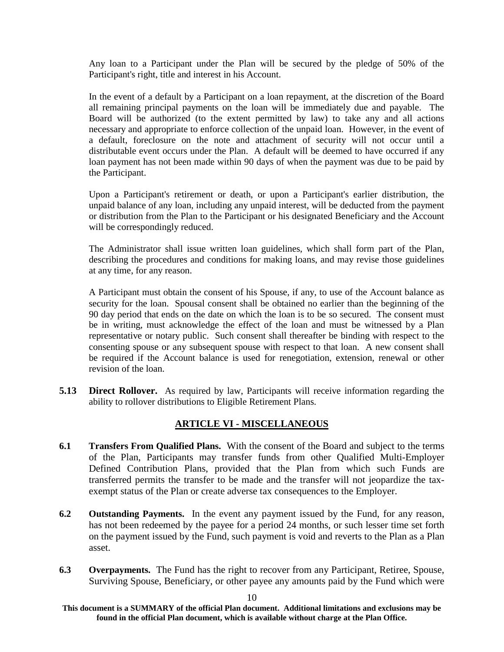Any loan to a Participant under the Plan will be secured by the pledge of 50% of the Participant's right, title and interest in his Account.

In the event of a default by a Participant on a loan repayment, at the discretion of the Board all remaining principal payments on the loan will be immediately due and payable. The Board will be authorized (to the extent permitted by law) to take any and all actions necessary and appropriate to enforce collection of the unpaid loan. However, in the event of a default, foreclosure on the note and attachment of security will not occur until a distributable event occurs under the Plan. A default will be deemed to have occurred if any loan payment has not been made within 90 days of when the payment was due to be paid by the Participant.

Upon a Participant's retirement or death, or upon a Participant's earlier distribution, the unpaid balance of any loan, including any unpaid interest, will be deducted from the payment or distribution from the Plan to the Participant or his designated Beneficiary and the Account will be correspondingly reduced.

The Administrator shall issue written loan guidelines, which shall form part of the Plan, describing the procedures and conditions for making loans, and may revise those guidelines at any time, for any reason.

A Participant must obtain the consent of his Spouse, if any, to use of the Account balance as security for the loan. Spousal consent shall be obtained no earlier than the beginning of the 90 day period that ends on the date on which the loan is to be so secured. The consent must be in writing, must acknowledge the effect of the loan and must be witnessed by a Plan representative or notary public. Such consent shall thereafter be binding with respect to the consenting spouse or any subsequent spouse with respect to that loan. A new consent shall be required if the Account balance is used for renegotiation, extension, renewal or other revision of the loan.

**5.13 Direct Rollover.** As required by law, Participants will receive information regarding the ability to rollover distributions to Eligible Retirement Plans.

# **ARTICLE VI - MISCELLANEOUS**

- **6.1 Transfers From Qualified Plans.** With the consent of the Board and subject to the terms of the Plan, Participants may transfer funds from other Qualified Multi-Employer Defined Contribution Plans, provided that the Plan from which such Funds are transferred permits the transfer to be made and the transfer will not jeopardize the taxexempt status of the Plan or create adverse tax consequences to the Employer.
- **6.2 Outstanding Payments.** In the event any payment issued by the Fund, for any reason, has not been redeemed by the payee for a period 24 months, or such lesser time set forth on the payment issued by the Fund, such payment is void and reverts to the Plan as a Plan asset.
- **6.3 Overpayments.** The Fund has the right to recover from any Participant, Retiree, Spouse, Surviving Spouse, Beneficiary, or other payee any amounts paid by the Fund which were

**This document is a SUMMARY of the official Plan document. Additional limitations and exclusions may be found in the official Plan document, which is available without charge at the Plan Office.**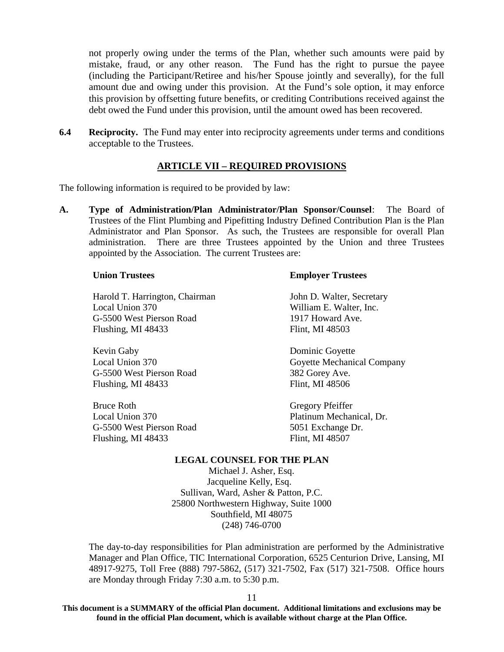not properly owing under the terms of the Plan, whether such amounts were paid by mistake, fraud, or any other reason. The Fund has the right to pursue the payee (including the Participant/Retiree and his/her Spouse jointly and severally), for the full amount due and owing under this provision. At the Fund's sole option, it may enforce this provision by offsetting future benefits, or crediting Contributions received against the debt owed the Fund under this provision, until the amount owed has been recovered.

**6.4** Reciprocity. The Fund may enter into reciprocity agreements under terms and conditions acceptable to the Trustees.

# **ARTICLE VII – REQUIRED PROVISIONS**

The following information is required to be provided by law:

**A. Type of Administration/Plan Administrator/Plan Sponsor/Counsel**: The Board of Trustees of the Flint Plumbing and Pipefitting Industry Defined Contribution Plan is the Plan Administrator and Plan Sponsor. As such, the Trustees are responsible for overall Plan administration. There are three Trustees appointed by the Union and three Trustees appointed by the Association. The current Trustees are:

#### **Union Trustees**

Harold T. Harrington, Chairman Local Union 370 G-5500 West Pierson Road Flushing, MI 48433

Kevin Gaby Local Union 370 G-5500 West Pierson Road Flushing, MI 48433

Bruce Roth Local Union 370 G-5500 West Pierson Road Flushing, MI 48433

#### **Employer Trustees**

John D. Walter, Secretary William E. Walter, Inc. 1917 Howard Ave. Flint, MI 48503

Dominic Goyette Goyette Mechanical Company 382 Gorey Ave. Flint, MI 48506

Gregory Pfeiffer Platinum Mechanical, Dr. 5051 Exchange Dr. Flint, MI 48507

#### **LEGAL COUNSEL FOR THE PLAN**

Michael J. Asher, Esq. Jacqueline Kelly, Esq. Sullivan, Ward, Asher & Patton, P.C. 25800 Northwestern Highway, Suite 1000 Southfield, MI 48075 (248) 746-0700

The day-to-day responsibilities for Plan administration are performed by the Administrative Manager and Plan Office, TIC International Corporation, 6525 Centurion Drive, Lansing, MI 48917-9275, Toll Free (888) 797-5862, (517) 321-7502, Fax (517) 321-7508. Office hours are Monday through Friday 7:30 a.m. to 5:30 p.m.

11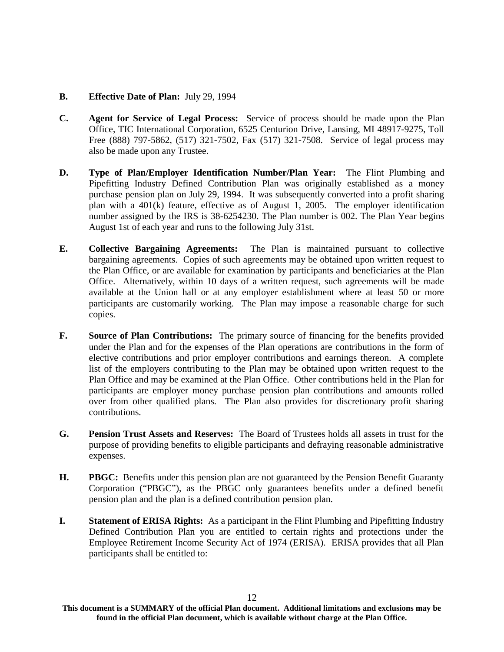#### **B. Effective Date of Plan:** July 29, 1994

- **C. Agent for Service of Legal Process:** Service of process should be made upon the Plan Office, TIC International Corporation, 6525 Centurion Drive, Lansing, MI 48917-9275, Toll Free (888) 797-5862, (517) 321-7502, Fax (517) 321-7508. Service of legal process may also be made upon any Trustee.
- **D. Type of Plan/Employer Identification Number/Plan Year:** The Flint Plumbing and Pipefitting Industry Defined Contribution Plan was originally established as a money purchase pension plan on July 29, 1994. It was subsequently converted into a profit sharing plan with a 401(k) feature, effective as of August 1, 2005. The employer identification number assigned by the IRS is 38-6254230. The Plan number is 002. The Plan Year begins August 1st of each year and runs to the following July 31st.
- **E. Collective Bargaining Agreements:** The Plan is maintained pursuant to collective bargaining agreements. Copies of such agreements may be obtained upon written request to the Plan Office, or are available for examination by participants and beneficiaries at the Plan Office. Alternatively, within 10 days of a written request, such agreements will be made available at the Union hall or at any employer establishment where at least 50 or more participants are customarily working. The Plan may impose a reasonable charge for such copies.
- **F. Source of Plan Contributions:** The primary source of financing for the benefits provided under the Plan and for the expenses of the Plan operations are contributions in the form of elective contributions and prior employer contributions and earnings thereon. A complete list of the employers contributing to the Plan may be obtained upon written request to the Plan Office and may be examined at the Plan Office. Other contributions held in the Plan for participants are employer money purchase pension plan contributions and amounts rolled over from other qualified plans. The Plan also provides for discretionary profit sharing contributions.
- **G. Pension Trust Assets and Reserves:** The Board of Trustees holds all assets in trust for the purpose of providing benefits to eligible participants and defraying reasonable administrative expenses.
- **H. PBGC:** Benefits under this pension plan are not guaranteed by the Pension Benefit Guaranty Corporation ("PBGC"), as the PBGC only guarantees benefits under a defined benefit pension plan and the plan is a defined contribution pension plan.
- **I.** Statement of ERISA Rights: As a participant in the Flint Plumbing and Pipefitting Industry Defined Contribution Plan you are entitled to certain rights and protections under the Employee Retirement Income Security Act of 1974 (ERISA). ERISA provides that all Plan participants shall be entitled to:

**This document is a SUMMARY of the official Plan document. Additional limitations and exclusions may be found in the official Plan document, which is available without charge at the Plan Office.**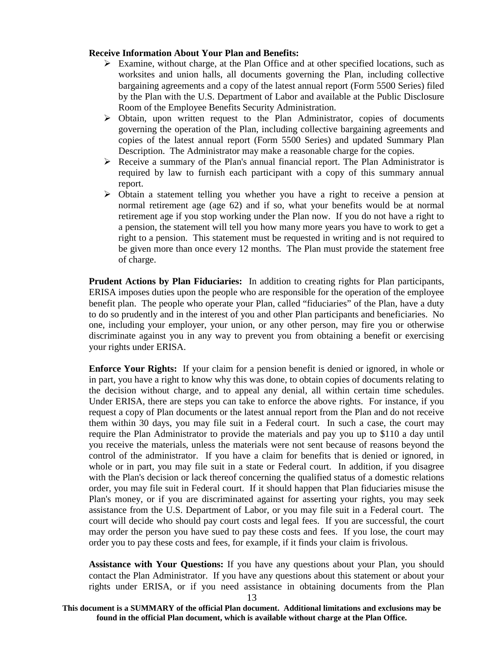#### **Receive Information About Your Plan and Benefits:**

- $\triangleright$  Examine, without charge, at the Plan Office and at other specified locations, such as worksites and union halls, all documents governing the Plan, including collective bargaining agreements and a copy of the latest annual report (Form 5500 Series) filed by the Plan with the U.S. Department of Labor and available at the Public Disclosure Room of the Employee Benefits Security Administration.
- $\triangleright$  Obtain, upon written request to the Plan Administrator, copies of documents governing the operation of the Plan, including collective bargaining agreements and copies of the latest annual report (Form 5500 Series) and updated Summary Plan Description. The Administrator may make a reasonable charge for the copies.
- $\triangleright$  Receive a summary of the Plan's annual financial report. The Plan Administrator is required by law to furnish each participant with a copy of this summary annual report.
- Obtain a statement telling you whether you have a right to receive a pension at normal retirement age (age 62) and if so, what your benefits would be at normal retirement age if you stop working under the Plan now. If you do not have a right to a pension, the statement will tell you how many more years you have to work to get a right to a pension. This statement must be requested in writing and is not required to be given more than once every 12 months. The Plan must provide the statement free of charge.

**Prudent Actions by Plan Fiduciaries:** In addition to creating rights for Plan participants, ERISA imposes duties upon the people who are responsible for the operation of the employee benefit plan. The people who operate your Plan, called "fiduciaries" of the Plan, have a duty to do so prudently and in the interest of you and other Plan participants and beneficiaries. No one, including your employer, your union, or any other person, may fire you or otherwise discriminate against you in any way to prevent you from obtaining a benefit or exercising your rights under ERISA.

**Enforce Your Rights:** If your claim for a pension benefit is denied or ignored, in whole or in part, you have a right to know why this was done, to obtain copies of documents relating to the decision without charge, and to appeal any denial, all within certain time schedules. Under ERISA, there are steps you can take to enforce the above rights. For instance, if you request a copy of Plan documents or the latest annual report from the Plan and do not receive them within 30 days, you may file suit in a Federal court. In such a case, the court may require the Plan Administrator to provide the materials and pay you up to \$110 a day until you receive the materials, unless the materials were not sent because of reasons beyond the control of the administrator. If you have a claim for benefits that is denied or ignored, in whole or in part, you may file suit in a state or Federal court. In addition, if you disagree with the Plan's decision or lack thereof concerning the qualified status of a domestic relations order, you may file suit in Federal court. If it should happen that Plan fiduciaries misuse the Plan's money, or if you are discriminated against for asserting your rights, you may seek assistance from the U.S. Department of Labor, or you may file suit in a Federal court. The court will decide who should pay court costs and legal fees. If you are successful, the court may order the person you have sued to pay these costs and fees. If you lose, the court may order you to pay these costs and fees, for example, if it finds your claim is frivolous.

**Assistance with Your Questions:** If you have any questions about your Plan, you should contact the Plan Administrator. If you have any questions about this statement or about your rights under ERISA, or if you need assistance in obtaining documents from the Plan